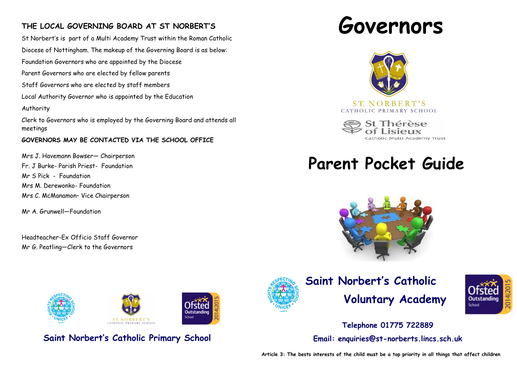### **THE LOCAL GOVERNING BOARD AT ST NORBERT'S**

St Norbert's is part of a Multi Academy Trust within the Roman Catholic Diocese of Nottingham. The makeup of the Governing Board is as below: Foundation Governors who are appointed by the Diocese Parent Governors who are elected by fellow parents Staff Governors who are elected by staff members Local Authority Governor who is appointed by the Education Authority Clerk to Governors who is employed by the Governing Board and attends all meetings

#### **GOVERNORS MAY BE CONTACTED VIA THE SCHOOL OFFICE**

Mrs J. Havemann Bowser— Chairperson Fr. J Burke- Parish Priest- Foundation Mr S Pick - Foundation Mrs M. Derewonko- Foundation Mrs C. McManamon– Vice Chairperson

Mr A. Grunwell—Foundation

Headteacher-Ex Officio Staff Governor Mr G. Peatling—Clerk to the Governors



**Saint Norbert's Catholic Primary School**





ST. NORBERT'S CATHOLIC PRIMARY SCHOOL

holic Multi Academy Trust

# **Parent Pocket Guide**





## **Saint Norbert's Catholic Voluntary Academy**



**Telephone 01775 722889 Email: enquiries@st-norberts.lincs.sch.uk**